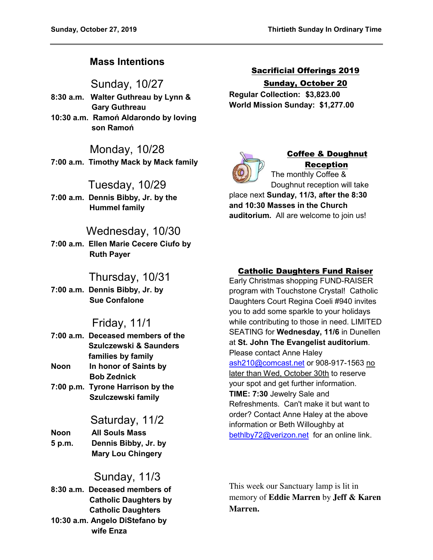# **Mass Intentions**

Sunday, 10/27

- **8:30 a.m. Walter Guthreau by Lynn & Gary Guthreau**
- **10:30 a.m. Ramoń Aldarondo by loving son Ramoń**

# Monday, 10/28

**7:00 a.m. Timothy Mack by Mack family** 

# Tuesday, 10/29

**7:00 a.m. Dennis Bibby, Jr. by the Hummel family** 

# Wednesday, 10/30

**7:00 a.m. Ellen Marie Cecere Ciufo by Ruth Payer** 

# Thursday, 10/31

**7:00 a.m. Dennis Bibby, Jr. by Sue Confalone** 

# Friday, 11/1

|      | 7:00 a.m. Deceased members of the |
|------|-----------------------------------|
|      | Szulczewski & Saunders            |
|      | families by family                |
| Noon | In honor of Saints by             |
|      | <b>Bob Zednick</b>                |
|      | 7:00 p.m. Tyrone Harrison by the  |
|      | Szulczewski family                |

# Saturday, 11/2

**Noon All Souls Mass 5 p.m. Dennis Bibby, Jr. by Mary Lou Chingery** 

# Sunday, 11/3

**8:30 a.m. Deceased members of Catholic Daughters by Catholic Daughters 10:30 a.m. Angelo DiStefano by wife Enza** 

Sacrificial Offerings 2019 Sunday, October 20

**Regular Collection: \$3,823.00 World Mission Sunday: \$1,277.00** 



# Coffee & Doughnut Reception

The monthly Coffee & Doughnut reception will take

place next **Sunday, 11/3, after the 8:30 and 10:30 Masses in the Church auditorium.** All are welcome to join us!

# Catholic Daughters Fund Raiser

Early Christmas shopping FUND-RAISER program with Touchstone Crystal! Catholic Daughters Court Regina Coeli #940 invites you to add some sparkle to your holidays while contributing to those in need. LIMITED SEATING for **Wednesday, 11/6** in Dunellen at **St. John The Evangelist auditorium**. Please contact Anne Haley [ash210@comcast.net](mailto:ash210@comcast.net) or 908-917-1563 no later than Wed, October 30th to reserve your spot and get further information. **TIME: 7:30** Jewelry Sale and Refreshments. Can't make it but want to order? Contact Anne Haley at the above information or Beth Willoughby at [bethlby72@verizon.net](mailto:bethlby72@verizon.net) for an online link.

This week our Sanctuary lamp is lit in memory of **Eddie Marren** by **Jeff & Karen Marren.**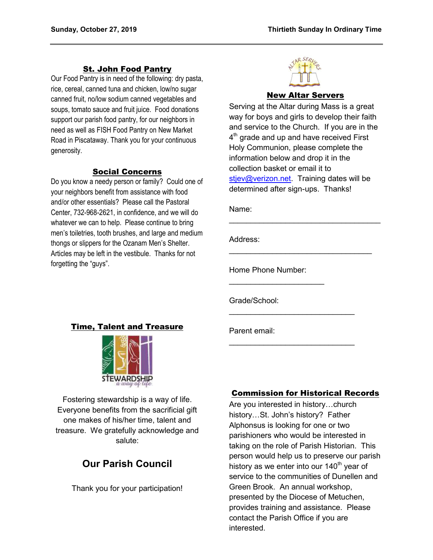## St. John Food Pantry

Our Food Pantry is in need of the following: dry pasta, rice, cereal, canned tuna and chicken, low/no sugar canned fruit, no/low sodium canned vegetables and soups, tomato sauce and fruit juice. Food donations support our parish food pantry, for our neighbors in need as well as FISH Food Pantry on New Market Road in Piscataway. Thank you for your continuous generosity.

#### Social Concerns

Do you know a needy person or family? Could one of your neighbors benefit from assistance with food and/or other essentials? Please call the Pastoral Center, 732-968-2621, in confidence, and we will do whatever we can to help. Please continue to bring men's toiletries, tooth brushes, and large and medium thongs or slippers for the Ozanam Men's Shelter. Articles may be left in the vestibule. Thanks for not forgetting the "guys".



#### New Altar Servers

Serving at the Altar during Mass is a great way for boys and girls to develop their faith and service to the Church. If you are in the  $4^{\text{th}}$  grade and up and have received First Holy Communion, please complete the information below and drop it in the collection basket or email it to [stjev@verizon.net.](mailto:stjev@verizon.net) Training dates will be determined after sign-ups. Thanks!

 $\mathcal{L}_\text{max}$  , where  $\mathcal{L}_\text{max}$  , we have the set of  $\mathcal{L}_\text{max}$ 

\_\_\_\_\_\_\_\_\_\_\_\_\_\_\_\_\_\_\_\_\_\_\_\_\_\_\_\_\_\_\_\_\_

 $\mathcal{L}_\text{max}$  , which is a set of the set of the set of the set of the set of the set of the set of the set of the set of the set of the set of the set of the set of the set of the set of the set of the set of the set of

 $\mathcal{L}_\text{max}$  , which is a set of the set of the set of the set of the set of the set of the set of the set of the set of the set of the set of the set of the set of the set of the set of the set of the set of the set of

Name:

Address:

Home Phone Number:

 $\mathcal{L}=\{1,2,3,4,5\}$ 

Grade/School:

Parent email:

Fostering stewardship is a way of life. Everyone benefits from the sacrificial gift one makes of his/her time, talent and treasure. We gratefully acknowledge and salute:

# **Our Parish Council**

Thank you for your participation!

#### Commission for Historical Records

Are you interested in history…church history…St. John's history? Father Alphonsus is looking for one or two parishioners who would be interested in taking on the role of Parish Historian. This person would help us to preserve our parish history as we enter into our 140<sup>th</sup> year of service to the communities of Dunellen and Green Brook. An annual workshop, presented by the Diocese of Metuchen, provides training and assistance. Please contact the Parish Office if you are interested.

# Time, Talent and Treasure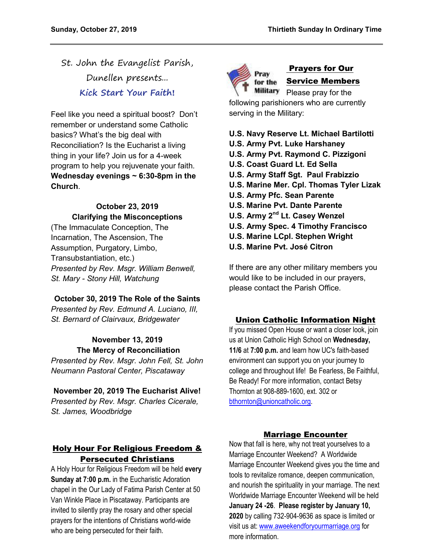St. John the Evangelist Parish, Dunellen presents... **Kick Start Your Faith!**

Feel like you need a spiritual boost? Don't remember or understand some Catholic basics? What's the big deal with Reconciliation? Is the Eucharist a living thing in your life? Join us for a 4-week program to help you rejuvenate your faith. **Wednesday evenings ~ 6:30-8pm in the Church**.

## **October 23, 2019 Clarifying the Misconceptions**

(The Immaculate Conception, The Incarnation, The Ascension, The Assumption, Purgatory, Limbo, Transubstantiation, etc.) *Presented by Rev. Msgr. William Benwell, St. Mary - Stony Hill, Watchung* 

## **October 30, 2019 The Role of the Saints**

*Presented by Rev. Edmund A. Luciano, III, St. Bernard of Clairvaux, Bridgewater* 

# **November 13, 2019 The Mercy of Reconciliation**

*Presented by Rev. Msgr. John Fell, St. John Neumann Pastoral Center, Piscataway* 

#### **November 20, 2019 The Eucharist Alive!**

*Presented by Rev. Msgr. Charles Cicerale, St. James, Woodbridge*

## Holy Hour For Religious Freedom & Persecuted Christians

A Holy Hour for Religious Freedom will be held **every Sunday at 7:00 p.m.** in the Eucharistic Adoration chapel in the Our Lady of Fatima Parish Center at 50 Van Winkle Place in Piscataway. Participants are invited to silently pray the rosary and other special prayers for the intentions of Christians world-wide who are being persecuted for their faith.



# Prayers for Our Service Members

Please pray for the following parishioners who are currently serving in the Military:

### **U.S. Navy Reserve Lt. Michael Bartilotti**

- **U.S. Army Pvt. Luke Harshaney**
- **U.S. Army Pvt. Raymond C. Pizzigoni**
- **U.S. Coast Guard Lt. Ed Sella**
- **U.S. Army Staff Sgt. Paul Frabizzio**
- **U.S. Marine Mer. Cpl. Thomas Tyler Lizak**
- **U.S. Army Pfc. Sean Parente**
- **U.S. Marine Pvt. Dante Parente**
- **U.S. Army 2nd Lt. Casey Wenzel**
- **U.S. Army Spec. 4 Timothy Francisco**
- **U.S. Marine LCpl. Stephen Wright**
- **U.S. Marine Pvt. José Citron**

If there are any other military members you would like to be included in our prayers, please contact the Parish Office.

## Union Catholic Information Night

If you missed Open House or want a closer look, join us at Union Catholic High School on **Wednesday, 11/6** at **7:00 p.m.** and learn how UC's faith-based environment can support you on your journey to college and throughout life! Be Fearless, Be Faithful, Be Ready! For more information, contact Betsy Thornton at 908-889-1600, ext. 302 or [bthornton@unioncatholic.org.](mailto:bthornton@unioncatholic.org)

#### Marriage Encounter

Now that fall is here, why not treat yourselves to a Marriage Encounter Weekend? A Worldwide Marriage Encounter Weekend gives you the time and tools to revitalize romance, deepen communication, and nourish the spirituality in your marriage. The next Worldwide Marriage Encounter Weekend will be held **January 24 -26**. **Please register by January 10, 2020** by calling 732-904-9636 as space is limited or visit us at[: www.aweekendforyourmarriage.org](http://www.aweekendforyourmarriage.org/) for more information.